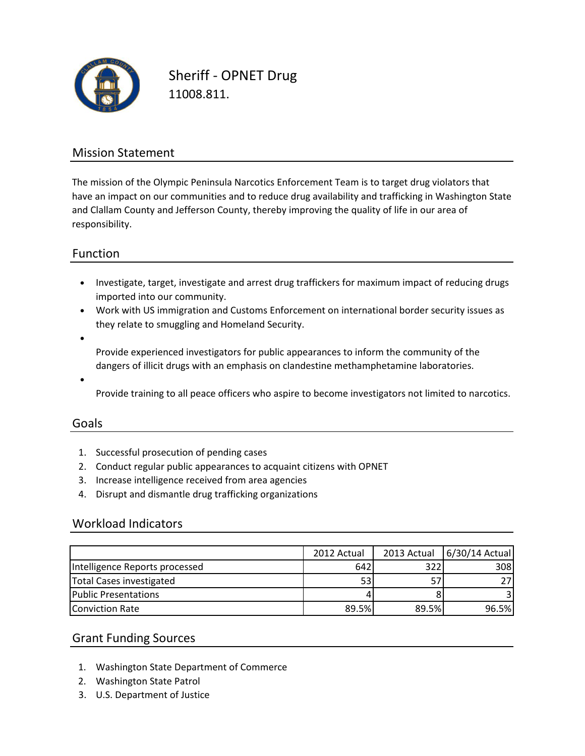

Sheriff - OPNET Drug 11008.811.

# Mission Statement

The mission of the Olympic Peninsula Narcotics Enforcement Team is to target drug violators that have an impact on our communities and to reduce drug availability and trafficking in Washington State and Clallam County and Jefferson County, thereby improving the quality of life in our area of responsibility.

## Function

- Investigate, target, investigate and arrest drug traffickers for maximum impact of reducing drugs imported into our community.
- Work with US immigration and Customs Enforcement on international border security issues as they relate to smuggling and Homeland Security.
- •

Provide experienced investigators for public appearances to inform the community of the dangers of illicit drugs with an emphasis on clandestine methamphetamine laboratories.

•

Provide training to all peace officers who aspire to become investigators not limited to narcotics.

#### Goals

- 1. Successful prosecution of pending cases
- 2. Conduct regular public appearances to acquaint citizens with OPNET
- 3. Increase intelligence received from area agencies
- 4. Disrupt and dismantle drug trafficking organizations

#### Workload Indicators

|                                | 2012 Actual |       | 2013 Actual 6/30/14 Actual |
|--------------------------------|-------------|-------|----------------------------|
| Intelligence Reports processed | 642         | 322   | 308                        |
| Total Cases investigated       | 53          |       |                            |
| <b>Public Presentations</b>    |             |       |                            |
| Conviction Rate                | 89.5%       | 89.5% | 96.5%                      |

#### Grant Funding Sources

- 1. Washington State Department of Commerce
- 2. Washington State Patrol
- 3. U.S. Department of Justice